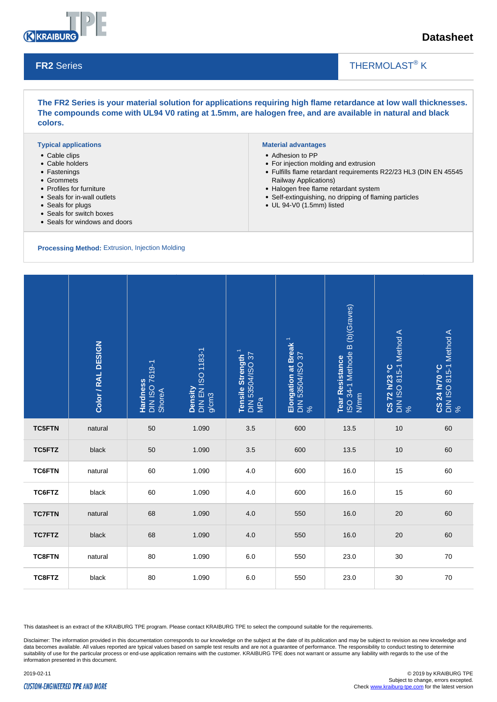

## **Datasheet**

#### **FR2** Series

## THERMOLAST<sup>®</sup> K

**The FR2 Series is your material solution for applications requiring high flame retardance at low wall thicknesses. The compounds come with UL94 V0 rating at 1.5mm, are halogen free, and are available in natural and black colors.**

#### **Typical applications**

- Cable clips
- Cable holders
- Fastenings
- Grommets
- Profiles for furniture
- Seals for in-wall outlets
- Seals for plugs
- Seals for switch boxes
- Seals for windows and doors

**Processing Method:** Extrusion, Injection Molding

### **Material advantages**

- Adhesion to PP
- For injection molding and extrusion
- Fulfills flame retardant requirements R22/23 HL3 (DIN EN 45545 Railway Applications)
	- Halogen free flame retardant system
	- Self-extinguishing, no dripping of flaming particles

 $\overline{\phantom{a}}$ 

UL 94-V0 (1.5mm) listed

|               | Color / RAL DESIGN | <b>Hardness</b><br>DIN ISO 7619-1<br>ShoreA | Density<br>DIN EN ISO 1183-1<br>g/cm3 | Tensile Strength <sup>1</sup><br>DIN 53504/ISO 37<br>  MPa | Elongation at Break <sup>1</sup><br>DIN 53504/ISO 37<br>% | Tear Resistance<br>ISO 34-1 Methode B (b)(Graves)<br>N/mm | <b>CS 72 h/23 °C</b><br>DIN ISO 815-1 Method A<br>% | <b>CS 24 h/70 °C</b><br>DIN ISO 815-1 Method A<br>% |
|---------------|--------------------|---------------------------------------------|---------------------------------------|------------------------------------------------------------|-----------------------------------------------------------|-----------------------------------------------------------|-----------------------------------------------------|-----------------------------------------------------|
| <b>TC5FTN</b> | natural            | 50                                          | 1.090                                 | 3.5                                                        | 600                                                       | 13.5                                                      | 10                                                  | 60                                                  |
| <b>TC5FTZ</b> | black              | 50                                          | 1.090                                 | 3.5                                                        | 600                                                       | 13.5                                                      | 10                                                  | 60                                                  |
| <b>TC6FTN</b> | natural            | 60                                          | 1.090                                 | 4.0                                                        | 600                                                       | 16.0                                                      | 15                                                  | 60                                                  |
| TC6FTZ        | black              | 60                                          | 1.090                                 | 4.0                                                        | 600                                                       | 16.0                                                      | 15                                                  | 60                                                  |
| <b>TC7FTN</b> | natural            | 68                                          | 1.090                                 | 4.0                                                        | 550                                                       | 16.0                                                      | 20                                                  | 60                                                  |
| <b>TC7FTZ</b> | black              | 68                                          | 1.090                                 | 4.0                                                        | 550                                                       | 16.0                                                      | 20                                                  | 60                                                  |
| <b>TC8FTN</b> | natural            | 80                                          | 1.090                                 | 6.0                                                        | 550                                                       | 23.0                                                      | 30                                                  | 70                                                  |
| TC8FTZ        | black              | 80                                          | 1.090                                 | 6.0                                                        | 550                                                       | 23.0                                                      | 30                                                  | 70                                                  |

This datasheet is an extract of the KRAIBURG TPE program. Please contact KRAIBURG TPE to select the compound suitable for the requirements.

Disclaimer: The information provided in this documentation corresponds to our knowledge on the subject at the date of its publication and may be subject to revision as new knowledge and data becomes available. All values reported are typical values based on sample test results and are not a guarantee of performance. The responsibility to conduct testing to determine suitability of use for the particular process or end-use application remains with the customer. KRAIBURG TPE does not warrant or assume any liability with regards to the use of the information presented in this document.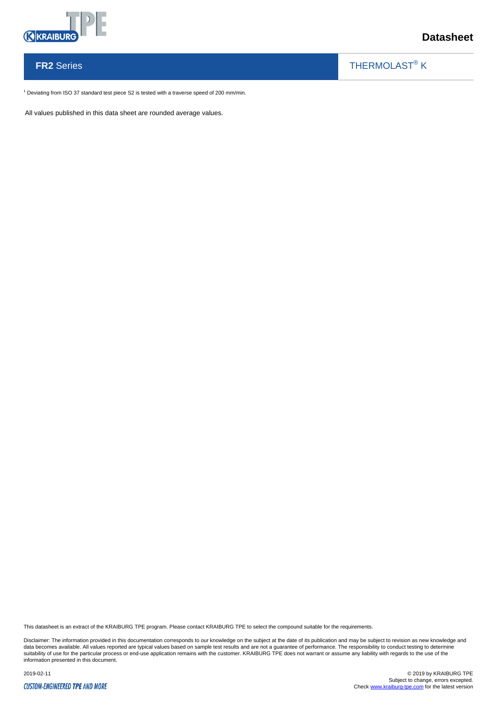

## **Datasheet**

# **FR2** Series

THERMOLAST<sup>®</sup> K

 $\overline{\phantom{a}}$ 

 $1$  Deviating from ISO 37 standard test piece S2 is tested with a traverse speed of 200 mm/min.

All values published in this data sheet are rounded average values.

This datasheet is an extract of the KRAIBURG TPE program. Please contact KRAIBURG TPE to select the compound suitable for the requirements.

Disclaimer: The information provided in this documentation corresponds to our knowledge on the subject at the date of its publication and may be subject to revision as new knowledge and data becomes available. All values reported are typical values based on sample test results and are not a guarantee of performance. The responsibility to conduct testing to determine<br>suitability of use for the particular p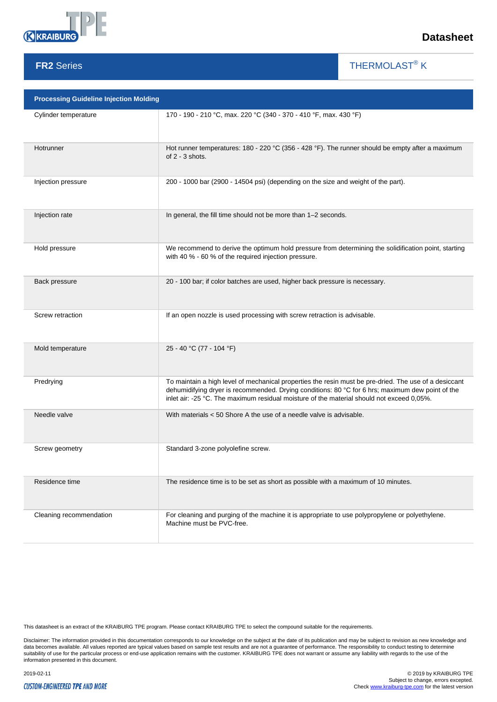

**FR2** Series

## **Datasheet**

THERMOLAST<sup>®</sup> K

 $\overline{\phantom{a}}$ 

| <b>Processing Guideline Injection Molding</b> |                                                                                                                                                                                                                                                                                                        |  |  |  |  |  |
|-----------------------------------------------|--------------------------------------------------------------------------------------------------------------------------------------------------------------------------------------------------------------------------------------------------------------------------------------------------------|--|--|--|--|--|
| Cylinder temperature                          | 170 - 190 - 210 °C, max. 220 °C (340 - 370 - 410 °F, max. 430 °F)                                                                                                                                                                                                                                      |  |  |  |  |  |
| Hotrunner                                     | Hot runner temperatures: 180 - 220 °C (356 - 428 °F). The runner should be empty after a maximum<br>of 2 - 3 shots.                                                                                                                                                                                    |  |  |  |  |  |
| Injection pressure                            | 200 - 1000 bar (2900 - 14504 psi) (depending on the size and weight of the part).                                                                                                                                                                                                                      |  |  |  |  |  |
| Injection rate                                | In general, the fill time should not be more than 1-2 seconds.                                                                                                                                                                                                                                         |  |  |  |  |  |
| Hold pressure                                 | We recommend to derive the optimum hold pressure from determining the solidification point, starting<br>with 40 % - 60 % of the required injection pressure.                                                                                                                                           |  |  |  |  |  |
| Back pressure                                 | 20 - 100 bar; if color batches are used, higher back pressure is necessary.                                                                                                                                                                                                                            |  |  |  |  |  |
| Screw retraction                              | If an open nozzle is used processing with screw retraction is advisable.                                                                                                                                                                                                                               |  |  |  |  |  |
| Mold temperature                              | 25 - 40 °C (77 - 104 °F)                                                                                                                                                                                                                                                                               |  |  |  |  |  |
| Predrying                                     | To maintain a high level of mechanical properties the resin must be pre-dried. The use of a desiccant<br>dehumidifying dryer is recommended. Drying conditions: 80 °C for 6 hrs; maximum dew point of the<br>inlet air: -25 °C. The maximum residual moisture of the material should not exceed 0,05%. |  |  |  |  |  |
| Needle valve                                  | With materials < 50 Shore A the use of a needle valve is advisable.                                                                                                                                                                                                                                    |  |  |  |  |  |
| Screw geometry                                | Standard 3-zone polyolefine screw.                                                                                                                                                                                                                                                                     |  |  |  |  |  |
| Residence time                                | The residence time is to be set as short as possible with a maximum of 10 minutes.                                                                                                                                                                                                                     |  |  |  |  |  |
| Cleaning recommendation                       | For cleaning and purging of the machine it is appropriate to use polypropylene or polyethylene.<br>Machine must be PVC-free.                                                                                                                                                                           |  |  |  |  |  |

This datasheet is an extract of the KRAIBURG TPE program. Please contact KRAIBURG TPE to select the compound suitable for the requirements.

Disclaimer: The information provided in this documentation corresponds to our knowledge on the subject at the date of its publication and may be subject to revision as new knowledge and<br>data becomes available. All values r